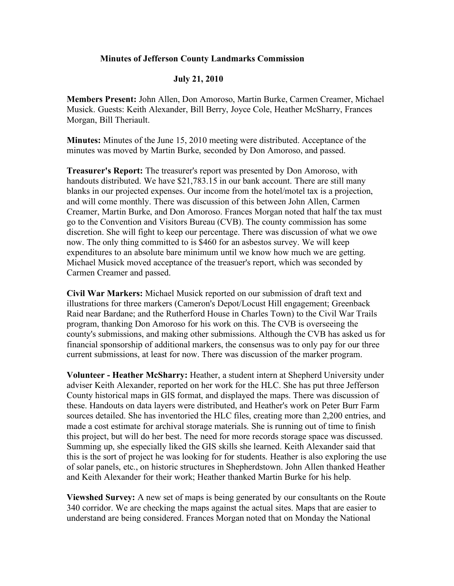## **Minutes of Jefferson County Landmarks Commission**

## **July 21, 2010**

**Members Present:** John Allen, Don Amoroso, Martin Burke, Carmen Creamer, Michael Musick. Guests: Keith Alexander, Bill Berry, Joyce Cole, Heather McSharry, Frances Morgan, Bill Theriault.

**Minutes:** Minutes of the June 15, 2010 meeting were distributed. Acceptance of the minutes was moved by Martin Burke, seconded by Don Amoroso, and passed.

**Treasurer's Report:** The treasurer's report was presented by Don Amoroso, with handouts distributed. We have \$21,783.15 in our bank account. There are still many blanks in our projected expenses. Our income from the hotel/motel tax is a projection, and will come monthly. There was discussion of this between John Allen, Carmen Creamer, Martin Burke, and Don Amoroso. Frances Morgan noted that half the tax must go to the Convention and Visitors Bureau (CVB). The county commission has some discretion. She will fight to keep our percentage. There was discussion of what we owe now. The only thing committed to is \$460 for an asbestos survey. We will keep expenditures to an absolute bare minimum until we know how much we are getting. Michael Musick moved acceptance of the treasuer's report, which was seconded by Carmen Creamer and passed.

**Civil War Markers:** Michael Musick reported on our submission of draft text and illustrations for three markers (Cameron's Depot/Locust Hill engagement; Greenback Raid near Bardane; and the Rutherford House in Charles Town) to the Civil War Trails program, thanking Don Amoroso for his work on this. The CVB is overseeing the county's submissions, and making other submissions. Although the CVB has asked us for financial sponsorship of additional markers, the consensus was to only pay for our three current submissions, at least for now. There was discussion of the marker program.

**Volunteer - Heather McSharry:** Heather, a student intern at Shepherd University under adviser Keith Alexander, reported on her work for the HLC. She has put three Jefferson County historical maps in GIS format, and displayed the maps. There was discussion of these. Handouts on data layers were distributed, and Heather's work on Peter Burr Farm sources detailed. She has inventoried the HLC files, creating more than 2,200 entries, and made a cost estimate for archival storage materials. She is running out of time to finish this project, but will do her best. The need for more records storage space was discussed. Summing up, she especially liked the GIS skills she learned. Keith Alexander said that this is the sort of project he was looking for for students. Heather is also exploring the use of solar panels, etc., on historic structures in Shepherdstown. John Allen thanked Heather and Keith Alexander for their work; Heather thanked Martin Burke for his help.

**Viewshed Survey:** A new set of maps is being generated by our consultants on the Route 340 corridor. We are checking the maps against the actual sites. Maps that are easier to understand are being considered. Frances Morgan noted that on Monday the National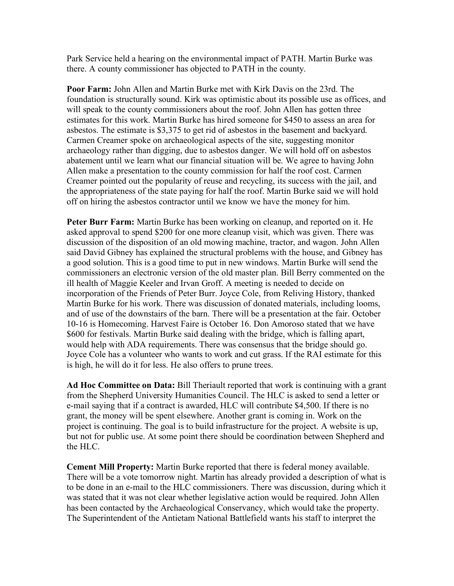Park Service held a hearing on the environmental impact of PATH. Martin Burke was there. A county commissioner has objected to PATH in the county.

**Poor Farm:** John Allen and Martin Burke met with Kirk Davis on the 23rd. The foundation is structurally sound. Kirk was optimistic about its possible use as offices, and will speak to the county commissioners about the roof. John Allen has gotten three estimates for this work. Martin Burke has hired someone for \$450 to assess an area for asbestos. The estimate is \$3,375 to get rid of asbestos in the basement and backyard. Carmen Creamer spoke on archaeological aspects of the site, suggesting monitor archaeology rather than digging, due to asbestos danger. We will hold off on asbestos abatement until we learn what our financial situation will be. We agree to having John Allen make a presentation to the county commission for half the roof cost. Carmen Creamer pointed out the popularity of reuse and recycling, its success with the jail, and the appropriateness of the state paying for half the roof. Martin Burke said we will hold off on hiring the asbestos contractor until we know we have the money for him.

**Peter Burr Farm:** Martin Burke has been working on cleanup, and reported on it. He asked approval to spend \$200 for one more cleanup visit, which was given. There was discussion of the disposition of an old mowing machine, tractor, and wagon. John Allen said David Gibney has explained the structural problems with the house, and Gibney has a good solution. This is a good time to put in new windows. Martin Burke will send the commissioners an electronic version of the old master plan. Bill Berry commented on the ill health of Maggie Keeler and Irvan Groff. A meeting is needed to decide on incorporation of the Friends of Peter Burr. Joyce Cole, from Reliving History, thanked Martin Burke for his work. There was discussion of donated materials, including looms, and of use of the downstairs of the barn. There will be a presentation at the fair. October 10-16 is Homecoming. Harvest Faire is October 16. Don Amoroso stated that we have \$600 for festivals. Martin Burke said dealing with the bridge, which is falling apart, would help with ADA requirements. There was consensus that the bridge should go. Joyce Cole has a volunteer who wants to work and cut grass. If the RAI estimate for this is high, he will do it for less. He also offers to prune trees.

**Ad Hoc Committee on Data:** Bill Theriault reported that work is continuing with a grant from the Shepherd University Humanities Council. The HLC is asked to send a letter or e-mail saying that if a contract is awarded, HLC will contribute \$4,500. If there is no grant, the money will be spent elsewhere. Another grant is coming in. Work on the project is continuing. The goal is to build infrastructure for the project. A website is up, but not for public use. At some point there should be coordination between Shepherd and the HLC.

**Cement Mill Property:** Martin Burke reported that there is federal money available. There will be a vote tomorrow night. Martin has already provided a description of what is to be done in an e-mail to the HLC commissioners. There was discussion, during which it was stated that it was not clear whether legislative action would be required. John Allen has been contacted by the Archaeological Conservancy, which would take the property. The Superintendent of the Antietam National Battlefield wants his staff to interpret the